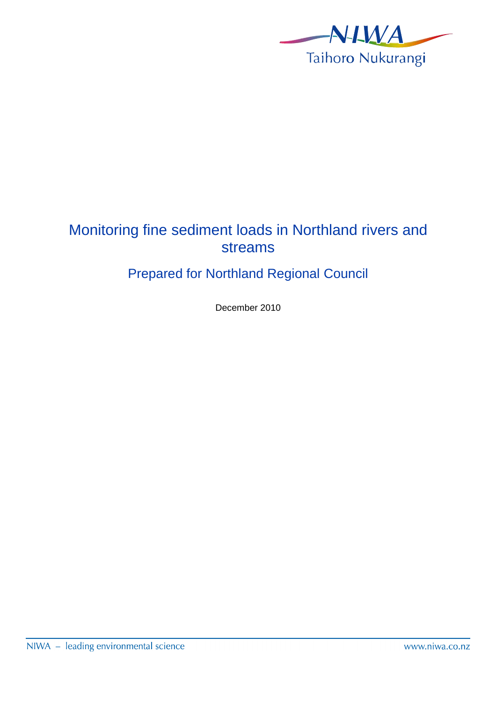

# Monitoring fine sediment loads in Northland rivers and streams

# Prepared for Northland Regional Council

December 2010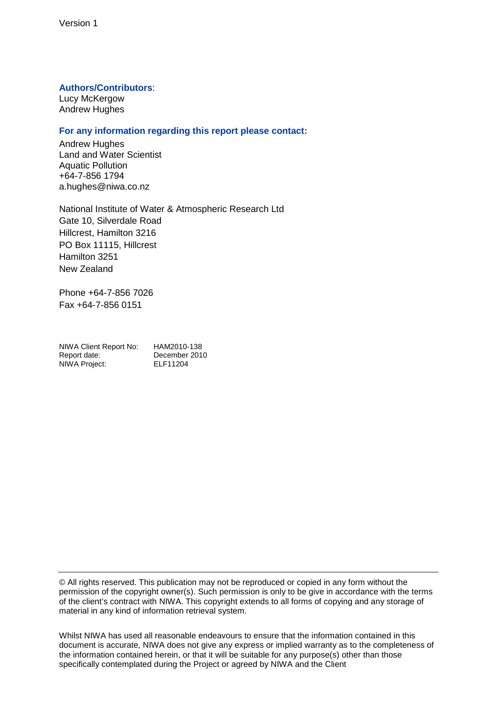#### **Authors/Contributors**:

Lucy McKergow Andrew Hughes

#### **For any information regarding this report please contact:**

Andrew Hughes Land and Water Scientist Aquatic Pollution +64-7-856 1794 a.hughes@niwa.co.nz

National Institute of Water & Atmospheric Research Ltd Gate 10, Silverdale Road Hillcrest, Hamilton 3216 PO Box 11115, Hillcrest Hamilton 3251 New Zealand

Phone +64-7-856 7026 Fax +64-7-856 0151

| NIWA Client Report No: | HAM2010-138   |
|------------------------|---------------|
| Report date:           | December 2010 |
| NIWA Project:          | ELF11204      |

© All rights reserved. This publication may not be reproduced or copied in any form without the permission of the copyright owner(s). Such permission is only to be give in accordance with the terms of the client's contract with NIWA. This copyright extends to all forms of copying and any storage of material in any kind of information retrieval system.

Whilst NIWA has used all reasonable endeavours to ensure that the information contained in this document is accurate, NIWA does not give any express or implied warranty as to the completeness of the information contained herein, or that it will be suitable for any purpose(s) other than those specifically contemplated during the Project or agreed by NIWA and the Client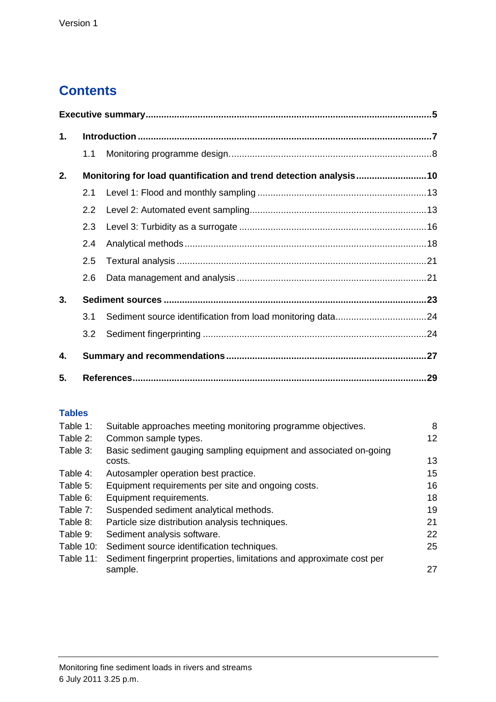# **Contents**

| 1. |               |                                                                   |  |
|----|---------------|-------------------------------------------------------------------|--|
|    | 1.1           |                                                                   |  |
| 2. |               | Monitoring for load quantification and trend detection analysis10 |  |
|    | 2.1           |                                                                   |  |
|    | $2.2^{\circ}$ |                                                                   |  |
|    | 2.3           |                                                                   |  |
|    | 2.4           |                                                                   |  |
|    | 2.5           |                                                                   |  |
|    | 2.6           |                                                                   |  |
| 3. |               |                                                                   |  |
|    | 3.1           |                                                                   |  |
|    | 3.2           |                                                                   |  |
| 4. |               |                                                                   |  |
| 5. |               |                                                                   |  |

### **Tables**

| Table 1:  | Suitable approaches meeting monitoring programme objectives.          | 8  |
|-----------|-----------------------------------------------------------------------|----|
| Table 2:  | Common sample types.                                                  | 12 |
| Table 3:  | Basic sediment gauging sampling equipment and associated on-going     |    |
|           | costs.                                                                | 13 |
| Table 4:  | Autosampler operation best practice.                                  | 15 |
| Table 5:  | Equipment requirements per site and ongoing costs.                    | 16 |
| Table 6:  | Equipment requirements.                                               | 18 |
| Table 7:  | Suspended sediment analytical methods.                                | 19 |
| Table 8:  | Particle size distribution analysis techniques.                       | 21 |
| Table 9:  | Sediment analysis software.                                           | 22 |
| Table 10: | Sediment source identification techniques.                            | 25 |
| Table 11: | Sediment fingerprint properties, limitations and approximate cost per |    |
|           | sample.                                                               | 27 |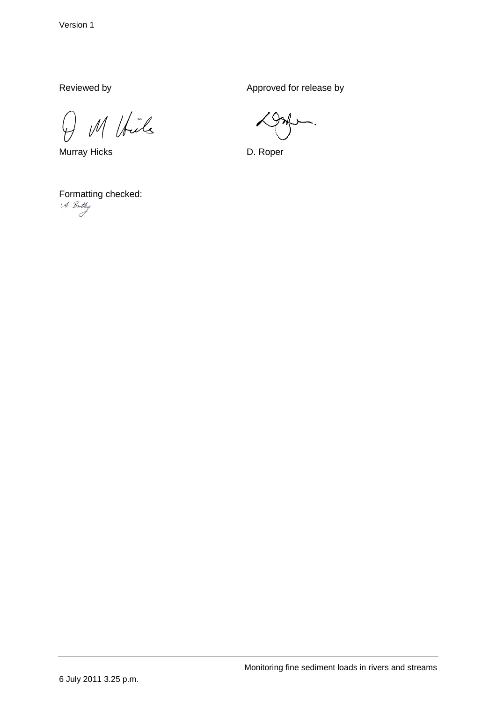Reviewed by Approved for release by

M Voils  $\overline{\varphi}$ 

Murray Hicks **D. Roper** 

Formatting checked:<br>  $4.$  Ba. Hy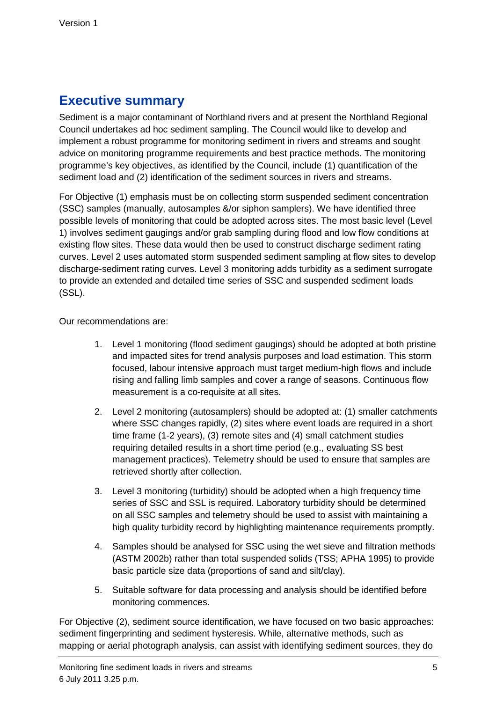## **Executive summary**

Sediment is a major contaminant of Northland rivers and at present the Northland Regional Council undertakes ad hoc sediment sampling. The Council would like to develop and implement a robust programme for monitoring sediment in rivers and streams and sought advice on monitoring programme requirements and best practice methods. The monitoring programme's key objectives, as identified by the Council, include (1) quantification of the sediment load and (2) identification of the sediment sources in rivers and streams.

For Objective (1) emphasis must be on collecting storm suspended sediment concentration (SSC) samples (manually, autosamples &/or siphon samplers). We have identified three possible levels of monitoring that could be adopted across sites. The most basic level (Level 1) involves sediment gaugings and/or grab sampling during flood and low flow conditions at existing flow sites. These data would then be used to construct discharge sediment rating curves. Level 2 uses automated storm suspended sediment sampling at flow sites to develop discharge-sediment rating curves. Level 3 monitoring adds turbidity as a sediment surrogate to provide an extended and detailed time series of SSC and suspended sediment loads (SSL).

Our recommendations are:

- 1. Level 1 monitoring (flood sediment gaugings) should be adopted at both pristine and impacted sites for trend analysis purposes and load estimation. This storm focused, labour intensive approach must target medium-high flows and include rising and falling limb samples and cover a range of seasons. Continuous flow measurement is a co-requisite at all sites.
- 2. Level 2 monitoring (autosamplers) should be adopted at: (1) smaller catchments where SSC changes rapidly, (2) sites where event loads are required in a short time frame (1-2 years), (3) remote sites and (4) small catchment studies requiring detailed results in a short time period (e.g., evaluating SS best management practices). Telemetry should be used to ensure that samples are retrieved shortly after collection.
- 3. Level 3 monitoring (turbidity) should be adopted when a high frequency time series of SSC and SSL is required. Laboratory turbidity should be determined on all SSC samples and telemetry should be used to assist with maintaining a high quality turbidity record by highlighting maintenance requirements promptly.
- 4. Samples should be analysed for SSC using the wet sieve and filtration methods (ASTM 2002b) rather than total suspended solids (TSS; APHA 1995) to provide basic particle size data (proportions of sand and silt/clay).
- 5. Suitable software for data processing and analysis should be identified before monitoring commences.

For Objective (2), sediment source identification, we have focused on two basic approaches: sediment fingerprinting and sediment hysteresis. While, alternative methods, such as mapping or aerial photograph analysis, can assist with identifying sediment sources, they do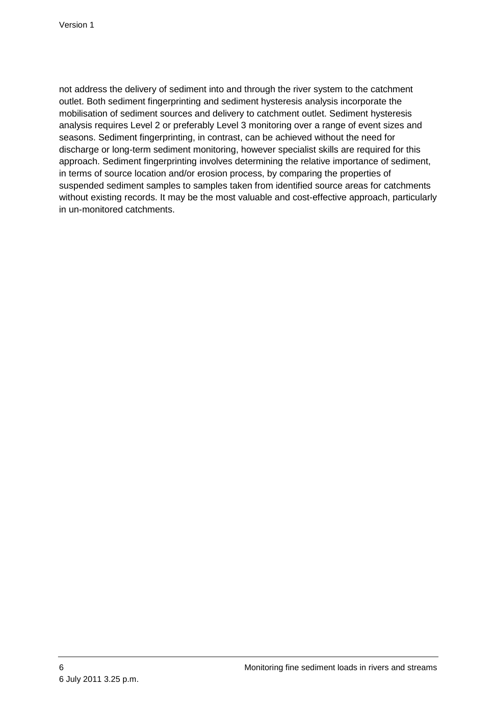not address the delivery of sediment into and through the river system to the catchment outlet. Both sediment fingerprinting and sediment hysteresis analysis incorporate the mobilisation of sediment sources and delivery to catchment outlet. Sediment hysteresis analysis requires Level 2 or preferably Level 3 monitoring over a range of event sizes and seasons. Sediment fingerprinting, in contrast, can be achieved without the need for discharge or long-term sediment monitoring, however specialist skills are required for this approach. Sediment fingerprinting involves determining the relative importance of sediment, in terms of source location and/or erosion process, by comparing the properties of suspended sediment samples to samples taken from identified source areas for catchments without existing records. It may be the most valuable and cost-effective approach, particularly in un-monitored catchments.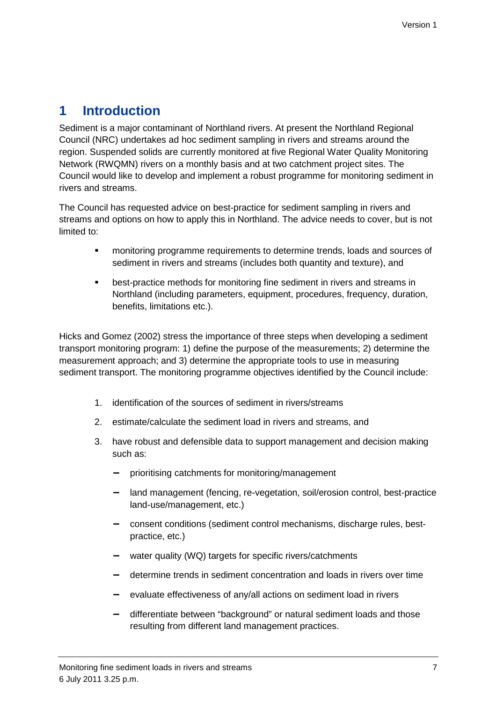# **1 Introduction**

Sediment is a major contaminant of Northland rivers. At present the Northland Regional Council (NRC) undertakes ad hoc sediment sampling in rivers and streams around the region. Suspended solids are currently monitored at five Regional Water Quality Monitoring Network (RWQMN) rivers on a monthly basis and at two catchment project sites. The Council would like to develop and implement a robust programme for monitoring sediment in rivers and streams.

The Council has requested advice on best-practice for sediment sampling in rivers and streams and options on how to apply this in Northland. The advice needs to cover, but is not limited to:

- monitoring programme requirements to determine trends, loads and sources of sediment in rivers and streams (includes both quantity and texture), and
- best-practice methods for monitoring fine sediment in rivers and streams in Northland (including parameters, equipment, procedures, frequency, duration, benefits, limitations etc.).

Hicks and Gomez (2002) stress the importance of three steps when developing a sediment transport monitoring program: 1) define the purpose of the measurements; 2) determine the measurement approach; and 3) determine the appropriate tools to use in measuring sediment transport. The monitoring programme objectives identified by the Council include:

- 1. identification of the sources of sediment in rivers/streams
- 2. estimate/calculate the sediment load in rivers and streams, and
- 3. have robust and defensible data to support management and decision making such as:
	- prioritising catchments for monitoring/management
	- − land management (fencing, re-vegetation, soil/erosion control, best-practice land-use/management, etc.)
	- − consent conditions (sediment control mechanisms, discharge rules, bestpractice, etc.)
	- − water quality (WQ) targets for specific rivers/catchments
	- − determine trends in sediment concentration and loads in rivers over time
	- − evaluate effectiveness of any/all actions on sediment load in rivers
	- − differentiate between "background" or natural sediment loads and those resulting from different land management practices.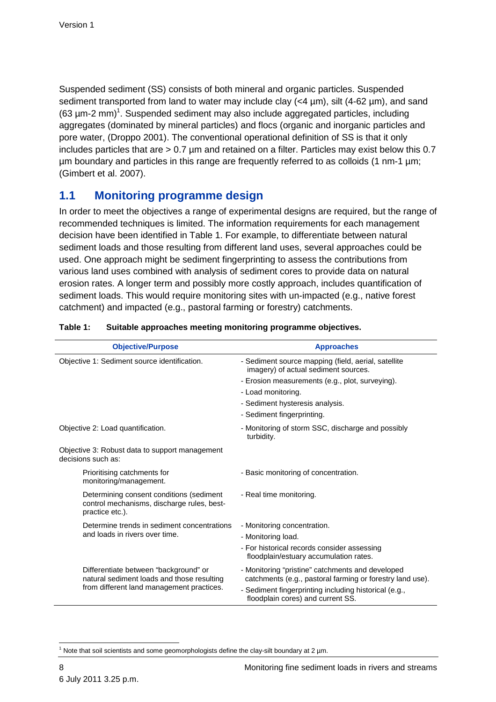Suspended sediment (SS) consists of both mineral and organic particles. Suspended sediment transported from land to water may include clay  $(<4 \mu m)$ , silt  $(4-62 \mu m)$ , and sand  $(63 \mu m$ -2 mm $)^1$ . Suspended sediment may also include aggregated particles, including aggregates (dominated by mineral particles) and flocs (organic and inorganic particles and pore water, (Droppo 2001). The conventional operational definition of SS is that it only includes particles that are > 0.7 µm and retained on a filter. Particles may exist below this 0.7 µm boundary and particles in this range are frequently referred to as colloids (1 nm-1 µm; (Gimbert et al. 2007).

### **1.1 Monitoring programme design**

In order to meet the objectives a range of experimental designs are required, but the range of recommended techniques is limited. The information requirements for each management decision have been identified in Table 1. For example, to differentiate between natural sediment loads and those resulting from different land uses, several approaches could be used. One approach might be sediment fingerprinting to assess the contributions from various land uses combined with analysis of sediment cores to provide data on natural erosion rates. A longer term and possibly more costly approach, includes quantification of sediment loads. This would require monitoring sites with un-impacted (e.g., native forest catchment) and impacted (e.g., pastoral farming or forestry) catchments.

| <b>Objective/Purpose</b>                                                                                  | <b>Approaches</b>                                                                                             |
|-----------------------------------------------------------------------------------------------------------|---------------------------------------------------------------------------------------------------------------|
| Objective 1: Sediment source identification.                                                              | - Sediment source mapping (field, aerial, satellite<br>imagery) of actual sediment sources.                   |
|                                                                                                           | - Erosion measurements (e.g., plot, surveying).                                                               |
|                                                                                                           | - Load monitoring.                                                                                            |
|                                                                                                           | - Sediment hysteresis analysis.                                                                               |
|                                                                                                           | - Sediment fingerprinting.                                                                                    |
| Objective 2: Load quantification.                                                                         | - Monitoring of storm SSC, discharge and possibly<br>turbidity.                                               |
| Objective 3: Robust data to support management<br>decisions such as:                                      |                                                                                                               |
| Prioritising catchments for<br>monitoring/management.                                                     | - Basic monitoring of concentration.                                                                          |
| Determining consent conditions (sediment<br>control mechanisms, discharge rules, best-<br>practice etc.). | - Real time monitoring.                                                                                       |
| Determine trends in sediment concentrations                                                               | - Monitoring concentration.                                                                                   |
| and loads in rivers over time.                                                                            | - Monitoring load.                                                                                            |
|                                                                                                           | - For historical records consider assessing<br>floodplain/estuary accumulation rates.                         |
| Differentiate between "background" or<br>natural sediment loads and those resulting                       | - Monitoring "pristine" catchments and developed<br>catchments (e.g., pastoral farming or forestry land use). |
| from different land management practices.                                                                 | - Sediment fingerprinting including historical (e.g.,<br>floodplain cores) and current SS.                    |

#### **Table 1: Suitable approaches meeting monitoring programme objectives.**

 <sup>1</sup> Note that soil scientists and some geomorphologists define the clay-silt boundary at 2  $\mu$ m.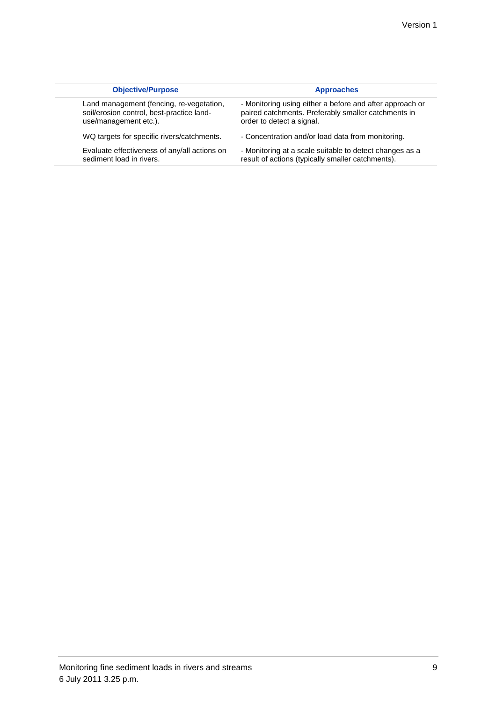| <b>Objective/Purpose</b>                     | <b>Approaches</b>                                        |
|----------------------------------------------|----------------------------------------------------------|
| Land management (fencing, re-vegetation,     | - Monitoring using either a before and after approach or |
| soil/erosion control, best-practice land-    | paired catchments. Preferably smaller catchments in      |
| use/management etc.).                        | order to detect a signal.                                |
| WQ targets for specific rivers/catchments.   | - Concentration and/or load data from monitoring.        |
| Evaluate effectiveness of any/all actions on | - Monitoring at a scale suitable to detect changes as a  |
| sediment load in rivers.                     | result of actions (typically smaller catchments).        |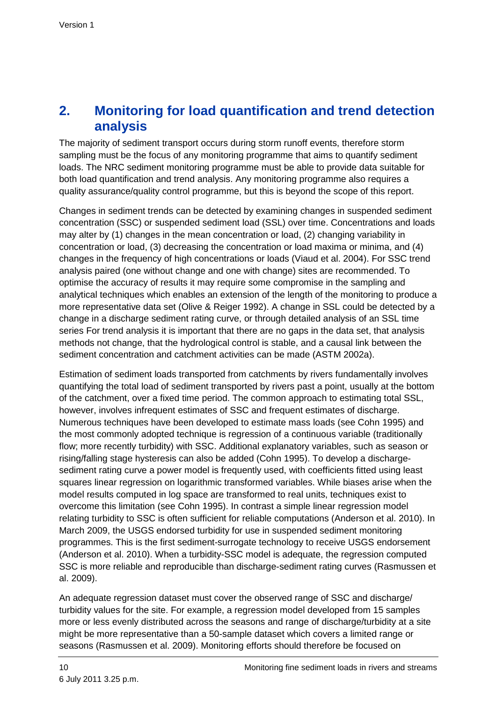## **2. Monitoring for load quantification and trend detection analysis**

The majority of sediment transport occurs during storm runoff events, therefore storm sampling must be the focus of any monitoring programme that aims to quantify sediment loads. The NRC sediment monitoring programme must be able to provide data suitable for both load quantification and trend analysis. Any monitoring programme also requires a quality assurance/quality control programme, but this is beyond the scope of this report.

Changes in sediment trends can be detected by examining changes in suspended sediment concentration (SSC) or suspended sediment load (SSL) over time. Concentrations and loads may alter by (1) changes in the mean concentration or load, (2) changing variability in concentration or load, (3) decreasing the concentration or load maxima or minima, and (4) changes in the frequency of high concentrations or loads (Viaud et al. 2004). For SSC trend analysis paired (one without change and one with change) sites are recommended. To optimise the accuracy of results it may require some compromise in the sampling and analytical techniques which enables an extension of the length of the monitoring to produce a more representative data set (Olive & Reiger 1992). A change in SSL could be detected by a change in a discharge sediment rating curve, or through detailed analysis of an SSL time series For trend analysis it is important that there are no gaps in the data set, that analysis methods not change, that the hydrological control is stable, and a causal link between the sediment concentration and catchment activities can be made (ASTM 2002a).

Estimation of sediment loads transported from catchments by rivers fundamentally involves quantifying the total load of sediment transported by rivers past a point, usually at the bottom of the catchment, over a fixed time period. The common approach to estimating total SSL, however, involves infrequent estimates of SSC and frequent estimates of discharge. Numerous techniques have been developed to estimate mass loads (see Cohn 1995) and the most commonly adopted technique is regression of a continuous variable (traditionally flow; more recently turbidity) with SSC. Additional explanatory variables, such as season or rising/falling stage hysteresis can also be added (Cohn 1995). To develop a dischargesediment rating curve a power model is frequently used, with coefficients fitted using least squares linear regression on logarithmic transformed variables. While biases arise when the model results computed in log space are transformed to real units, techniques exist to overcome this limitation (see Cohn 1995). In contrast a simple linear regression model relating turbidity to SSC is often sufficient for reliable computations (Anderson et al. 2010). In March 2009, the USGS endorsed turbidity for use in suspended sediment monitoring programmes. This is the first sediment-surrogate technology to receive USGS endorsement (Anderson et al. 2010). When a turbidity-SSC model is adequate, the regression computed SSC is more reliable and reproducible than discharge-sediment rating curves (Rasmussen et al. 2009).

An adequate regression dataset must cover the observed range of SSC and discharge/ turbidity values for the site. For example, a regression model developed from 15 samples more or less evenly distributed across the seasons and range of discharge/turbidity at a site might be more representative than a 50-sample dataset which covers a limited range or seasons (Rasmussen et al. 2009). Monitoring efforts should therefore be focused on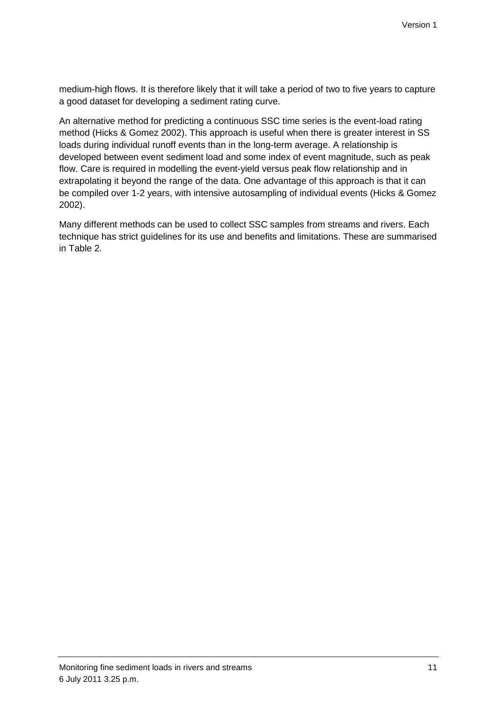medium-high flows. It is therefore likely that it will take a period of two to five years to capture a good dataset for developing a sediment rating curve.

An alternative method for predicting a continuous SSC time series is the event-load rating method (Hicks & Gomez 2002). This approach is useful when there is greater interest in SS loads during individual runoff events than in the long-term average. A relationship is developed between event sediment load and some index of event magnitude, such as peak flow. Care is required in modelling the event-yield versus peak flow relationship and in extrapolating it beyond the range of the data. One advantage of this approach is that it can be compiled over 1-2 years, with intensive autosampling of individual events (Hicks & Gomez 2002).

Many different methods can be used to collect SSC samples from streams and rivers. Each technique has strict guidelines for its use and benefits and limitations. These are summarised in Table 2.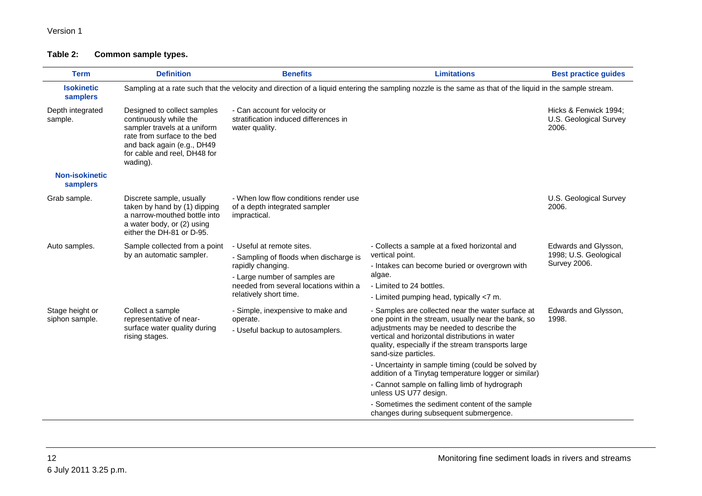### Version 1

### **Table 2: Common sample types.**

| <b>Term</b>                       | <b>Definition</b>                                                                                                                                                                               | <b>Benefits</b>                                                                                                                                                                               | <b>Limitations</b>                                                                                                                                                                                                                                                                                                                                                                                                                                                                                                                                                       | <b>Best practice guides</b>                                          |
|-----------------------------------|-------------------------------------------------------------------------------------------------------------------------------------------------------------------------------------------------|-----------------------------------------------------------------------------------------------------------------------------------------------------------------------------------------------|--------------------------------------------------------------------------------------------------------------------------------------------------------------------------------------------------------------------------------------------------------------------------------------------------------------------------------------------------------------------------------------------------------------------------------------------------------------------------------------------------------------------------------------------------------------------------|----------------------------------------------------------------------|
| <b>Isokinetic</b><br>samplers     |                                                                                                                                                                                                 |                                                                                                                                                                                               | Sampling at a rate such that the velocity and direction of a liquid entering the sampling nozzle is the same as that of the liquid in the sample stream.                                                                                                                                                                                                                                                                                                                                                                                                                 |                                                                      |
| Depth integrated<br>sample.       | Designed to collect samples<br>continuously while the<br>sampler travels at a uniform<br>rate from surface to the bed<br>and back again (e.g., DH49<br>for cable and reel, DH48 for<br>wading). | - Can account for velocity or<br>stratification induced differences in<br>water quality.                                                                                                      |                                                                                                                                                                                                                                                                                                                                                                                                                                                                                                                                                                          | Hicks & Fenwick 1994:<br>U.S. Geological Survey<br>2006.             |
| <b>Non-isokinetic</b><br>samplers |                                                                                                                                                                                                 |                                                                                                                                                                                               |                                                                                                                                                                                                                                                                                                                                                                                                                                                                                                                                                                          |                                                                      |
| Grab sample.                      | Discrete sample, usually<br>taken by hand by (1) dipping<br>a narrow-mouthed bottle into<br>a water body, or (2) using<br>either the DH-81 or D-95.                                             | - When low flow conditions render use<br>of a depth integrated sampler<br>impractical.                                                                                                        |                                                                                                                                                                                                                                                                                                                                                                                                                                                                                                                                                                          | U.S. Geological Survey<br>2006.                                      |
| Auto samples.                     | Sample collected from a point<br>by an automatic sampler.                                                                                                                                       | - Useful at remote sites.<br>- Sampling of floods when discharge is<br>rapidly changing.<br>- Large number of samples are<br>needed from several locations within a<br>relatively short time. | - Collects a sample at a fixed horizontal and<br>vertical point.<br>- Intakes can become buried or overgrown with<br>algae.<br>- Limited to 24 bottles.<br>- Limited pumping head, typically <7 m.                                                                                                                                                                                                                                                                                                                                                                       | Edwards and Glysson,<br>1998; U.S. Geological<br><b>Survey 2006.</b> |
| Stage height or<br>siphon sample. | Collect a sample<br>representative of near-<br>surface water quality during<br>rising stages.                                                                                                   | - Simple, inexpensive to make and<br>operate.<br>- Useful backup to autosamplers.                                                                                                             | - Samples are collected near the water surface at<br>one point in the stream, usually near the bank, so<br>adjustments may be needed to describe the<br>vertical and horizontal distributions in water<br>quality, especially if the stream transports large<br>sand-size particles.<br>- Uncertainty in sample timing (could be solved by<br>addition of a Tinytag temperature logger or similar)<br>- Cannot sample on falling limb of hydrograph<br>unless US U77 design.<br>- Sometimes the sediment content of the sample<br>changes during subsequent submergence. | Edwards and Glysson,<br>1998.                                        |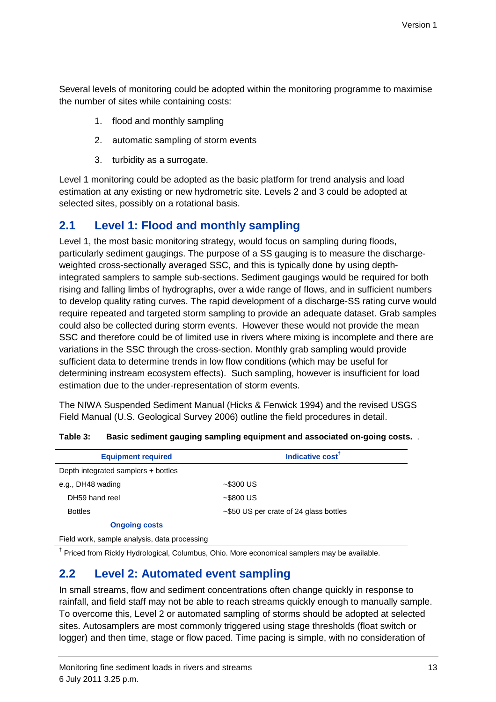Several levels of monitoring could be adopted within the monitoring programme to maximise the number of sites while containing costs:

- 1. flood and monthly sampling
- 2. automatic sampling of storm events
- 3. turbidity as a surrogate.

Level 1 monitoring could be adopted as the basic platform for trend analysis and load estimation at any existing or new hydrometric site. Levels 2 and 3 could be adopted at selected sites, possibly on a rotational basis.

### **2.1 Level 1: Flood and monthly sampling**

Level 1, the most basic monitoring strategy, would focus on sampling during floods, particularly sediment gaugings. The purpose of a SS gauging is to measure the dischargeweighted cross-sectionally averaged SSC, and this is typically done by using depthintegrated samplers to sample sub-sections. Sediment gaugings would be required for both rising and falling limbs of hydrographs, over a wide range of flows, and in sufficient numbers to develop quality rating curves. The rapid development of a discharge-SS rating curve would require repeated and targeted storm sampling to provide an adequate dataset. Grab samples could also be collected during storm events. However these would not provide the mean SSC and therefore could be of limited use in rivers where mixing is incomplete and there are variations in the SSC through the cross-section. Monthly grab sampling would provide sufficient data to determine trends in low flow conditions (which may be useful for determining instream ecosystem effects). Such sampling, however is insufficient for load estimation due to the under-representation of storm events.

The NIWA Suspended Sediment Manual (Hicks & Fenwick 1994) and the revised USGS Field Manual (U.S. Geological Survey 2006) outline the field procedures in detail.

| <b>Equipment required</b>                    | Indicative cost <sup>T</sup>           |
|----------------------------------------------|----------------------------------------|
| Depth integrated samplers + bottles          |                                        |
| e.g., DH48 wading                            | $~5300$ US                             |
| DH59 hand reel                               | $~5800$ US                             |
| <b>Bottles</b>                               | ~\$50 US per crate of 24 glass bottles |
| <b>Ongoing costs</b>                         |                                        |
| Field work, sample analysis, data processing |                                        |

| Table 3: | Basic sediment gauging sampling equipment and associated on-going costs. . |  |
|----------|----------------------------------------------------------------------------|--|
|----------|----------------------------------------------------------------------------|--|

<sup>†</sup> Priced from Rickly Hydrological, Columbus, Ohio. More economical samplers may be available.

### **2.2 Level 2: Automated event sampling**

In small streams, flow and sediment concentrations often change quickly in response to rainfall, and field staff may not be able to reach streams quickly enough to manually sample. To overcome this, Level 2 or automated sampling of storms should be adopted at selected sites. Autosamplers are most commonly triggered using stage thresholds (float switch or logger) and then time, stage or flow paced. Time pacing is simple, with no consideration of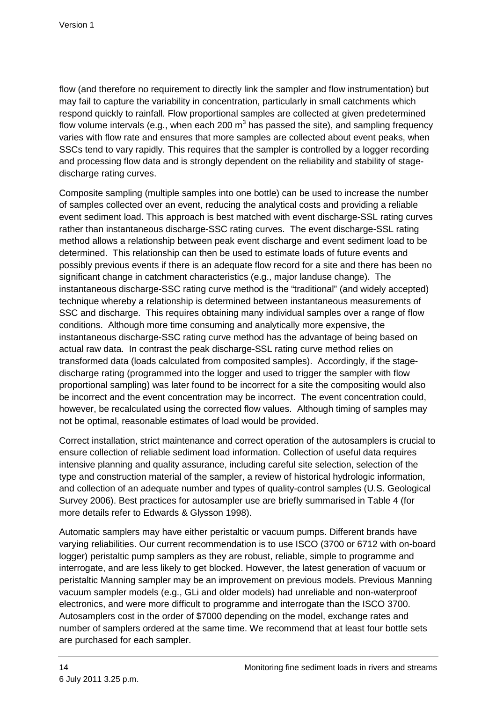flow (and therefore no requirement to directly link the sampler and flow instrumentation) but may fail to capture the variability in concentration, particularly in small catchments which respond quickly to rainfall. Flow proportional samples are collected at given predetermined flow volume intervals (e.g., when each 200 m<sup>3</sup> has passed the site), and sampling frequency varies with flow rate and ensures that more samples are collected about event peaks, when SSCs tend to vary rapidly. This requires that the sampler is controlled by a logger recording and processing flow data and is strongly dependent on the reliability and stability of stagedischarge rating curves.

Composite sampling (multiple samples into one bottle) can be used to increase the number of samples collected over an event, reducing the analytical costs and providing a reliable event sediment load. This approach is best matched with event discharge-SSL rating curves rather than instantaneous discharge-SSC rating curves. The event discharge-SSL rating method allows a relationship between peak event discharge and event sediment load to be determined. This relationship can then be used to estimate loads of future events and possibly previous events if there is an adequate flow record for a site and there has been no significant change in catchment characteristics (e.g., major landuse change). The instantaneous discharge-SSC rating curve method is the "traditional" (and widely accepted) technique whereby a relationship is determined between instantaneous measurements of SSC and discharge. This requires obtaining many individual samples over a range of flow conditions. Although more time consuming and analytically more expensive, the instantaneous discharge-SSC rating curve method has the advantage of being based on actual raw data. In contrast the peak discharge-SSL rating curve method relies on transformed data (loads calculated from composited samples). Accordingly, if the stagedischarge rating (programmed into the logger and used to trigger the sampler with flow proportional sampling) was later found to be incorrect for a site the compositing would also be incorrect and the event concentration may be incorrect. The event concentration could, however, be recalculated using the corrected flow values. Although timing of samples may not be optimal, reasonable estimates of load would be provided.

Correct installation, strict maintenance and correct operation of the autosamplers is crucial to ensure collection of reliable sediment load information. Collection of useful data requires intensive planning and quality assurance, including careful site selection, selection of the type and construction material of the sampler, a review of historical hydrologic information, and collection of an adequate number and types of quality-control samples (U.S. Geological Survey 2006). Best practices for autosampler use are briefly summarised in Table 4 (for more details refer to Edwards & Glysson 1998).

Automatic samplers may have either peristaltic or vacuum pumps. Different brands have varying reliabilities. Our current recommendation is to use ISCO (3700 or 6712 with on-board logger) peristaltic pump samplers as they are robust, reliable, simple to programme and interrogate, and are less likely to get blocked. However, the latest generation of vacuum or peristaltic Manning sampler may be an improvement on previous models. Previous Manning vacuum sampler models (e.g., GLi and older models) had unreliable and non-waterproof electronics, and were more difficult to programme and interrogate than the ISCO 3700. Autosamplers cost in the order of \$7000 depending on the model, exchange rates and number of samplers ordered at the same time. We recommend that at least four bottle sets are purchased for each sampler.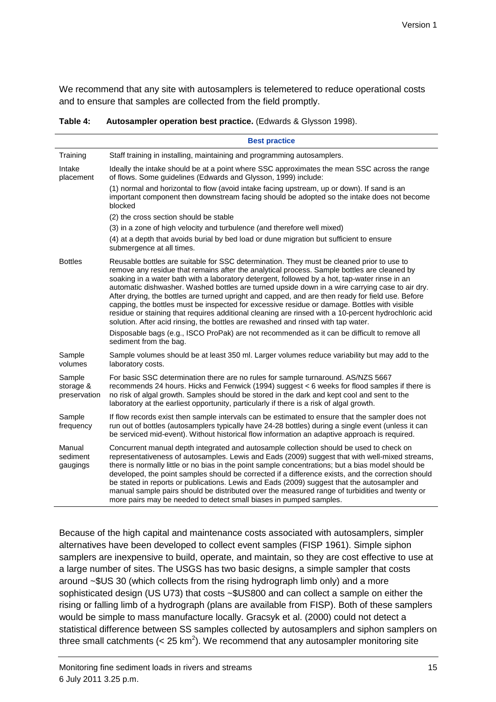We recommend that any site with autosamplers is telemetered to reduce operational costs and to ensure that samples are collected from the field promptly.

**Table 4: Autosampler operation best practice.** (Edwards & Glysson 1998).

|                                     | <b>Best practice</b>                                                                                                                                                                                                                                                                                                                                                                                                                                                                                                                                                                                                                                                                                                                                                                           |
|-------------------------------------|------------------------------------------------------------------------------------------------------------------------------------------------------------------------------------------------------------------------------------------------------------------------------------------------------------------------------------------------------------------------------------------------------------------------------------------------------------------------------------------------------------------------------------------------------------------------------------------------------------------------------------------------------------------------------------------------------------------------------------------------------------------------------------------------|
| Training                            | Staff training in installing, maintaining and programming autosamplers.                                                                                                                                                                                                                                                                                                                                                                                                                                                                                                                                                                                                                                                                                                                        |
| Intake<br>placement                 | Ideally the intake should be at a point where SSC approximates the mean SSC across the range<br>of flows. Some guidelines (Edwards and Glysson, 1999) include:                                                                                                                                                                                                                                                                                                                                                                                                                                                                                                                                                                                                                                 |
|                                     | (1) normal and horizontal to flow (avoid intake facing upstream, up or down). If sand is an<br>important component then downstream facing should be adopted so the intake does not become<br>blocked                                                                                                                                                                                                                                                                                                                                                                                                                                                                                                                                                                                           |
|                                     | (2) the cross section should be stable                                                                                                                                                                                                                                                                                                                                                                                                                                                                                                                                                                                                                                                                                                                                                         |
|                                     | (3) in a zone of high velocity and turbulence (and therefore well mixed)                                                                                                                                                                                                                                                                                                                                                                                                                                                                                                                                                                                                                                                                                                                       |
|                                     | (4) at a depth that avoids burial by bed load or dune migration but sufficient to ensure<br>submergence at all times.                                                                                                                                                                                                                                                                                                                                                                                                                                                                                                                                                                                                                                                                          |
| <b>Bottles</b>                      | Reusable bottles are suitable for SSC determination. They must be cleaned prior to use to<br>remove any residue that remains after the analytical process. Sample bottles are cleaned by<br>soaking in a water bath with a laboratory detergent, followed by a hot, tap-water rinse in an<br>automatic dishwasher. Washed bottles are turned upside down in a wire carrying case to air dry.<br>After drying, the bottles are turned upright and capped, and are then ready for field use. Before<br>capping, the bottles must be inspected for excessive residue or damage. Bottles with visible<br>residue or staining that requires additional cleaning are rinsed with a 10-percent hydrochloric acid<br>solution. After acid rinsing, the bottles are rewashed and rinsed with tap water. |
|                                     | Disposable bags (e.g., ISCO ProPak) are not recommended as it can be difficult to remove all<br>sediment from the bag.                                                                                                                                                                                                                                                                                                                                                                                                                                                                                                                                                                                                                                                                         |
| Sample<br>volumes                   | Sample volumes should be at least 350 ml. Larger volumes reduce variability but may add to the<br>laboratory costs.                                                                                                                                                                                                                                                                                                                                                                                                                                                                                                                                                                                                                                                                            |
| Sample<br>storage &<br>preservation | For basic SSC determination there are no rules for sample turnaround. AS/NZS 5667<br>recommends 24 hours. Hicks and Fenwick (1994) suggest < 6 weeks for flood samples if there is<br>no risk of algal growth. Samples should be stored in the dark and kept cool and sent to the<br>laboratory at the earliest opportunity, particularly if there is a risk of algal growth.                                                                                                                                                                                                                                                                                                                                                                                                                  |
| Sample<br>frequency                 | If flow records exist then sample intervals can be estimated to ensure that the sampler does not<br>run out of bottles (autosamplers typically have 24-28 bottles) during a single event (unless it can<br>be serviced mid-event). Without historical flow information an adaptive approach is required.                                                                                                                                                                                                                                                                                                                                                                                                                                                                                       |
| Manual<br>sediment<br>gaugings      | Concurrent manual depth integrated and autosample collection should be used to check on<br>representativeness of autosamples. Lewis and Eads (2009) suggest that with well-mixed streams,<br>there is normally little or no bias in the point sample concentrations; but a bias model should be<br>developed, the point samples should be corrected if a difference exists, and the correction should<br>be stated in reports or publications. Lewis and Eads (2009) suggest that the autosampler and<br>manual sample pairs should be distributed over the measured range of turbidities and twenty or<br>more pairs may be needed to detect small biases in pumped samples.                                                                                                                  |

Because of the high capital and maintenance costs associated with autosamplers, simpler alternatives have been developed to collect event samples (FISP 1961). Simple siphon samplers are inexpensive to build, operate, and maintain, so they are cost effective to use at a large number of sites. The USGS has two basic designs, a simple sampler that costs around ~\$US 30 (which collects from the rising hydrograph limb only) and a more sophisticated design (US U73) that costs ~\$US800 and can collect a sample on either the rising or falling limb of a hydrograph (plans are available from FISP). Both of these samplers would be simple to mass manufacture locally. Gracsyk et al. (2000) could not detect a statistical difference between SS samples collected by autosamplers and siphon samplers on three small catchments (< 25 km<sup>2</sup>). We recommend that any autosampler monitoring site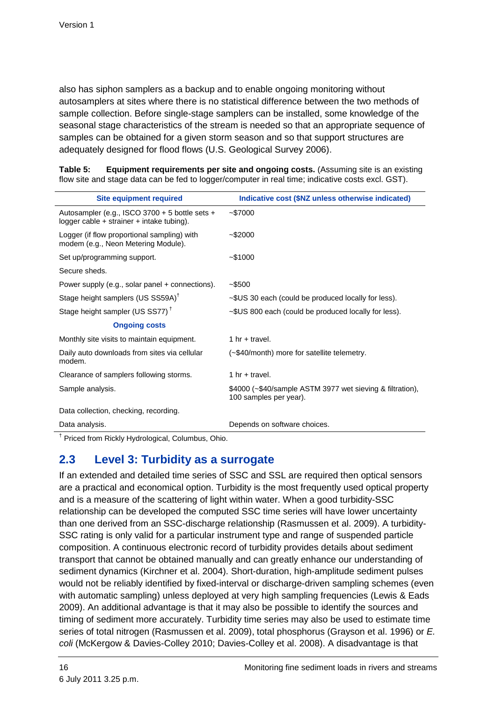also has siphon samplers as a backup and to enable ongoing monitoring without autosamplers at sites where there is no statistical difference between the two methods of sample collection. Before single-stage samplers can be installed, some knowledge of the seasonal stage characteristics of the stream is needed so that an appropriate sequence of samples can be obtained for a given storm season and so that support structures are adequately designed for flood flows (U.S. Geological Survey 2006).

**Table 5: Equipment requirements per site and ongoing costs.** (Assuming site is an existing flow site and stage data can be fed to logger/computer in real time; indicative costs excl. GST).

| <b>Site equipment required</b>                                                                  | Indicative cost (\$NZ unless otherwise indicated)                                   |
|-------------------------------------------------------------------------------------------------|-------------------------------------------------------------------------------------|
| Autosampler (e.g., ISCO 3700 + 5 bottle sets +<br>logger cable $+$ strainer $+$ intake tubing). | ~1000                                                                               |
| Logger (if flow proportional sampling) with<br>modem (e.g., Neon Metering Module).              | $~1$ - \$2000                                                                       |
| Set up/programming support.                                                                     | ~1000                                                                               |
| Secure sheds.                                                                                   |                                                                                     |
| Power supply (e.g., solar panel + connections).                                                 | $-$ \$500                                                                           |
| Stage height samplers (US SS59A) <sup>†</sup>                                                   | $\sim$ \$US 30 each (could be produced locally for less).                           |
| Stage height sampler (US SS77) <sup>†</sup>                                                     | ~\$US 800 each (could be produced locally for less).                                |
| <b>Ongoing costs</b>                                                                            |                                                                                     |
| Monthly site visits to maintain equipment.                                                      | 1 hr + travel.                                                                      |
| Daily auto downloads from sites via cellular<br>modem.                                          | (~\$40/month) more for satellite telemetry.                                         |
| Clearance of samplers following storms.                                                         | 1 hr + travel.                                                                      |
| Sample analysis.                                                                                | \$4000 (~\$40/sample ASTM 3977 wet sieving & filtration),<br>100 samples per year). |
| Data collection, checking, recording.                                                           |                                                                                     |
| Data analysis.                                                                                  | Depends on software choices.                                                        |

<sup>†</sup> Priced from Rickly Hydrological, Columbus, Ohio.

### **2.3 Level 3: Turbidity as a surrogate**

If an extended and detailed time series of SSC and SSL are required then optical sensors are a practical and economical option. Turbidity is the most frequently used optical property and is a measure of the scattering of light within water. When a good turbidity-SSC relationship can be developed the computed SSC time series will have lower uncertainty than one derived from an SSC-discharge relationship (Rasmussen et al. 2009). A turbidity-SSC rating is only valid for a particular instrument type and range of suspended particle composition. A continuous electronic record of turbidity provides details about sediment transport that cannot be obtained manually and can greatly enhance our understanding of sediment dynamics (Kirchner et al. 2004). Short-duration, high-amplitude sediment pulses would not be reliably identified by fixed-interval or discharge-driven sampling schemes (even with automatic sampling) unless deployed at very high sampling frequencies (Lewis & Eads 2009). An additional advantage is that it may also be possible to identify the sources and timing of sediment more accurately. Turbidity time series may also be used to estimate time series of total nitrogen (Rasmussen et al. 2009), total phosphorus (Grayson et al. 1996) or E. coli (McKergow & Davies-Colley 2010; Davies-Colley et al. 2008). A disadvantage is that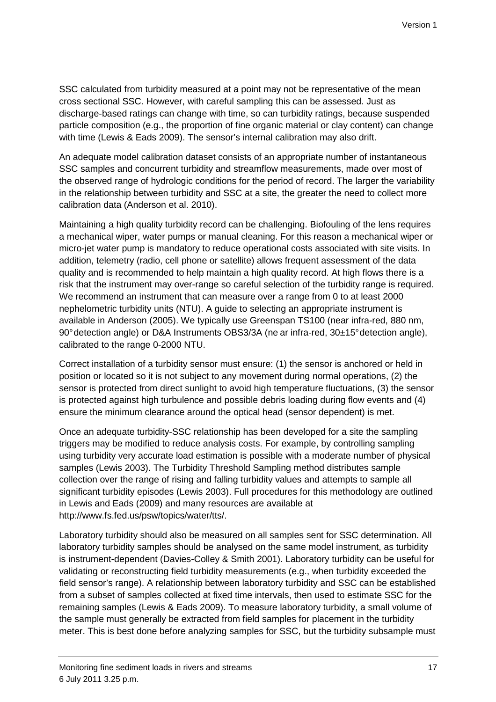SSC calculated from turbidity measured at a point may not be representative of the mean cross sectional SSC. However, with careful sampling this can be assessed. Just as discharge-based ratings can change with time, so can turbidity ratings, because suspended particle composition (e.g., the proportion of fine organic material or clay content) can change with time (Lewis & Eads 2009). The sensor's internal calibration may also drift.

An adequate model calibration dataset consists of an appropriate number of instantaneous SSC samples and concurrent turbidity and streamflow measurements, made over most of the observed range of hydrologic conditions for the period of record. The larger the variability in the relationship between turbidity and SSC at a site, the greater the need to collect more calibration data (Anderson et al. 2010).

Maintaining a high quality turbidity record can be challenging. Biofouling of the lens requires a mechanical wiper, water pumps or manual cleaning. For this reason a mechanical wiper or micro-jet water pump is mandatory to reduce operational costs associated with site visits. In addition, telemetry (radio, cell phone or satellite) allows frequent assessment of the data quality and is recommended to help maintain a high quality record. At high flows there is a risk that the instrument may over-range so careful selection of the turbidity range is required. We recommend an instrument that can measure over a range from 0 to at least 2000 nephelometric turbidity units (NTU). A guide to selecting an appropriate instrument is available in Anderson (2005). We typically use Greenspan TS100 (near infra-red, 880 nm, 90° detection angle) or D&A Instruments OBS3/3A (ne ar infra-red, 30±15° detection angle), calibrated to the range 0-2000 NTU.

Correct installation of a turbidity sensor must ensure: (1) the sensor is anchored or held in position or located so it is not subject to any movement during normal operations, (2) the sensor is protected from direct sunlight to avoid high temperature fluctuations, (3) the sensor is protected against high turbulence and possible debris loading during flow events and (4) ensure the minimum clearance around the optical head (sensor dependent) is met.

Once an adequate turbidity-SSC relationship has been developed for a site the sampling triggers may be modified to reduce analysis costs. For example, by controlling sampling using turbidity very accurate load estimation is possible with a moderate number of physical samples (Lewis 2003). The Turbidity Threshold Sampling method distributes sample collection over the range of rising and falling turbidity values and attempts to sample all significant turbidity episodes (Lewis 2003). Full procedures for this methodology are outlined in Lewis and Eads (2009) and many resources are available at http://www.fs.fed.us/psw/topics/water/tts/.

Laboratory turbidity should also be measured on all samples sent for SSC determination. All laboratory turbidity samples should be analysed on the same model instrument, as turbidity is instrument-dependent (Davies-Colley & Smith 2001). Laboratory turbidity can be useful for validating or reconstructing field turbidity measurements (e.g., when turbidity exceeded the field sensor's range). A relationship between laboratory turbidity and SSC can be established from a subset of samples collected at fixed time intervals, then used to estimate SSC for the remaining samples (Lewis & Eads 2009). To measure laboratory turbidity, a small volume of the sample must generally be extracted from field samples for placement in the turbidity meter. This is best done before analyzing samples for SSC, but the turbidity subsample must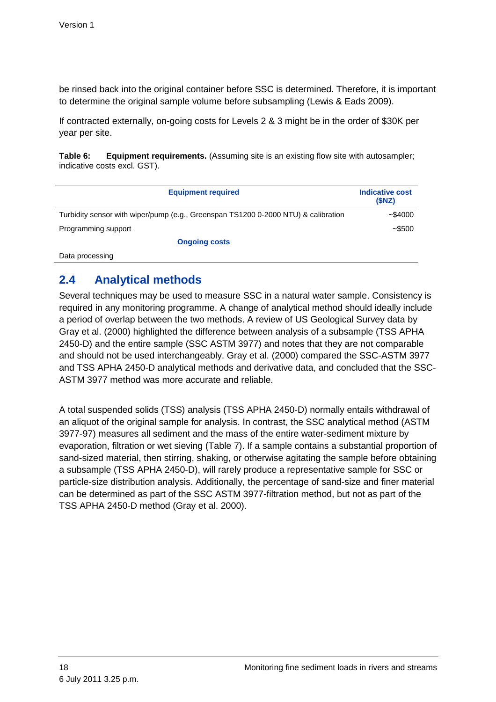be rinsed back into the original container before SSC is determined. Therefore, it is important to determine the original sample volume before subsampling (Lewis & Eads 2009).

If contracted externally, on-going costs for Levels 2 & 3 might be in the order of \$30K per year per site.

**Table 6:** Equipment requirements. (Assuming site is an existing flow site with autosampler; indicative costs excl. GST).

| <b>Equipment required</b>                                                          | <b>Indicative cost</b><br>(SNZ) |
|------------------------------------------------------------------------------------|---------------------------------|
| Turbidity sensor with wiper/pump (e.g., Greenspan TS1200 0-2000 NTU) & calibration | ~1000                           |
| Programming support                                                                | $~1 - 500$                      |
| <b>Ongoing costs</b>                                                               |                                 |
| - -                                                                                |                                 |

Data processing

### **2.4 Analytical methods**

Several techniques may be used to measure SSC in a natural water sample. Consistency is required in any monitoring programme. A change of analytical method should ideally include a period of overlap between the two methods. A review of US Geological Survey data by Gray et al. (2000) highlighted the difference between analysis of a subsample (TSS APHA 2450-D) and the entire sample (SSC ASTM 3977) and notes that they are not comparable and should not be used interchangeably. Gray et al. (2000) compared the SSC-ASTM 3977 and TSS APHA 2450-D analytical methods and derivative data, and concluded that the SSC-ASTM 3977 method was more accurate and reliable.

A total suspended solids (TSS) analysis (TSS APHA 2450-D) normally entails withdrawal of an aliquot of the original sample for analysis. In contrast, the SSC analytical method (ASTM 3977-97) measures all sediment and the mass of the entire water-sediment mixture by evaporation, filtration or wet sieving (Table 7). If a sample contains a substantial proportion of sand-sized material, then stirring, shaking, or otherwise agitating the sample before obtaining a subsample (TSS APHA 2450-D), will rarely produce a representative sample for SSC or particle-size distribution analysis. Additionally, the percentage of sand-size and finer material can be determined as part of the SSC ASTM 3977-filtration method, but not as part of the TSS APHA 2450-D method (Gray et al. 2000).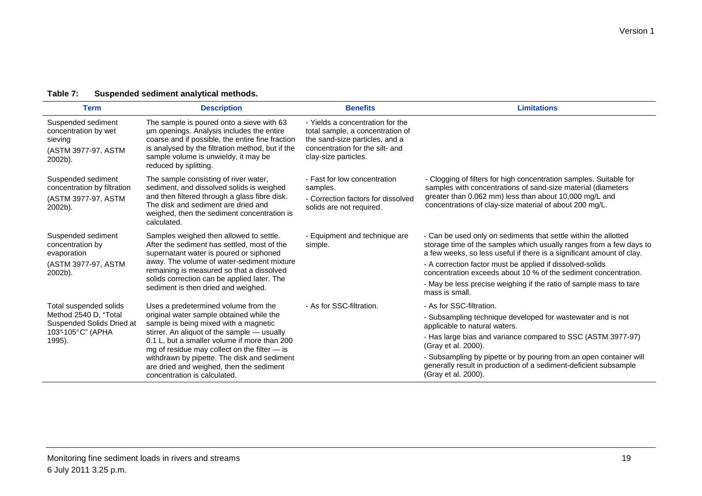### **Table 7: Suspended sediment analytical methods.**

| <b>Term</b>                                                                                                                                                                                                                                                                                                                                                                              | <b>Description</b>                                                                                                                                                                                                                                                                                                 | <b>Benefits</b>                                                                                                                                                   | <b>Limitations</b>                                                                                                                                                                                                                                                                                                                                                                                                    |
|------------------------------------------------------------------------------------------------------------------------------------------------------------------------------------------------------------------------------------------------------------------------------------------------------------------------------------------------------------------------------------------|--------------------------------------------------------------------------------------------------------------------------------------------------------------------------------------------------------------------------------------------------------------------------------------------------------------------|-------------------------------------------------------------------------------------------------------------------------------------------------------------------|-----------------------------------------------------------------------------------------------------------------------------------------------------------------------------------------------------------------------------------------------------------------------------------------------------------------------------------------------------------------------------------------------------------------------|
| Suspended sediment<br>concentration by wet<br>sieving<br>(ASTM 3977-97, ASTM<br>2002b).                                                                                                                                                                                                                                                                                                  | The sample is poured onto a sieve with 63<br>um openings. Analysis includes the entire<br>coarse and if possible, the entire fine fraction<br>is analysed by the filtration method, but if the<br>sample volume is unwieldy, it may be<br>reduced by splitting.                                                    | - Yields a concentration for the<br>total sample, a concentration of<br>the sand-size particles, and a<br>concentration for the silt- and<br>clay-size particles. |                                                                                                                                                                                                                                                                                                                                                                                                                       |
| Suspended sediment<br>concentration by filtration<br>(ASTM 3977-97, ASTM<br>2002b).                                                                                                                                                                                                                                                                                                      | The sample consisting of river water,<br>sediment, and dissolved solids is weighed<br>and then filtered through a glass fibre disk.<br>The disk and sediment are dried and<br>weighed, then the sediment concentration is<br>calculated.                                                                           | - Fast for low concentration<br>samples.<br>- Correction factors for dissolved<br>solids are not required.                                                        | - Clogging of filters for high concentration samples. Suitable for<br>samples with concentrations of sand-size material (diameters<br>greater than 0.062 mm) less than about 10,000 mg/L and<br>concentrations of clay-size material of about 200 mg/L.                                                                                                                                                               |
| Suspended sediment<br>concentration by<br>evaporation<br>(ASTM 3977-97, ASTM<br>2002b).                                                                                                                                                                                                                                                                                                  | Samples weighed then allowed to settle.<br>After the sediment has settled, most of the<br>supernatant water is poured or siphoned<br>away. The volume of water-sediment mixture<br>remaining is measured so that a dissolved<br>solids correction can be applied later. The<br>sediment is then dried and weighed. | - Equipment and technique are<br>simple.                                                                                                                          | - Can be used only on sediments that settle within the allotted<br>storage time of the samples which usually ranges from a few days to<br>a few weeks, so less useful if there is a significant amount of clay.<br>- A correction factor must be applied if dissolved-solids<br>concentration exceeds about 10 % of the sediment concentration.<br>- May be less precise weighing if the ratio of sample mass to tare |
|                                                                                                                                                                                                                                                                                                                                                                                          |                                                                                                                                                                                                                                                                                                                    |                                                                                                                                                                   | mass is small.                                                                                                                                                                                                                                                                                                                                                                                                        |
| Total suspended solids<br>Uses a predetermined volume from the<br>Method 2540 D, "Total<br>original water sample obtained while the<br>Suspended Solids Dried at<br>sample is being mixed with a magnetic<br>103°105°C" (APHA<br>stirrer. An aliquot of the sample - usually<br>0.1 L, but a smaller volume if more than 200<br>1995).<br>mg of residue may collect on the filter $-$ is | - As for SSC-filtration.                                                                                                                                                                                                                                                                                           | - As for SSC-filtration.<br>- Subsampling technique developed for wastewater and is not<br>applicable to natural waters.                                          |                                                                                                                                                                                                                                                                                                                                                                                                                       |
|                                                                                                                                                                                                                                                                                                                                                                                          |                                                                                                                                                                                                                                                                                                                    | - Has large bias and variance compared to SSC (ASTM 3977-97)<br>(Gray et al. 2000).                                                                               |                                                                                                                                                                                                                                                                                                                                                                                                                       |
|                                                                                                                                                                                                                                                                                                                                                                                          | withdrawn by pipette. The disk and sediment<br>are dried and weighed, then the sediment<br>concentration is calculated.                                                                                                                                                                                            |                                                                                                                                                                   | - Subsampling by pipette or by pouring from an open container will<br>generally result in production of a sediment-deficient subsample<br>(Gray et al. 2000).                                                                                                                                                                                                                                                         |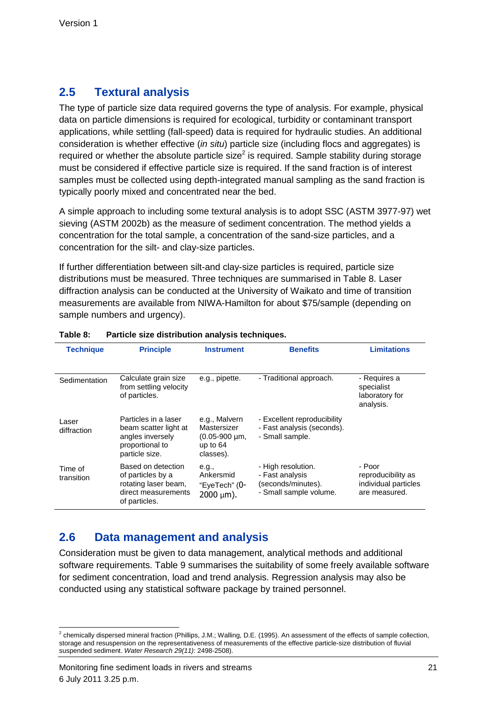## **2.5 Textural analysis**

The type of particle size data required governs the type of analysis. For example, physical data on particle dimensions is required for ecological, turbidity or contaminant transport applications, while settling (fall-speed) data is required for hydraulic studies. An additional consideration is whether effective (in situ) particle size (including flocs and aggregates) is required or whether the absolute particle size<sup>2</sup> is required. Sample stability during storage must be considered if effective particle size is required. If the sand fraction is of interest samples must be collected using depth-integrated manual sampling as the sand fraction is typically poorly mixed and concentrated near the bed.

A simple approach to including some textural analysis is to adopt SSC (ASTM 3977-97) wet sieving (ASTM 2002b) as the measure of sediment concentration. The method yields a concentration for the total sample, a concentration of the sand-size particles, and a concentration for the silt- and clay-size particles.

If further differentiation between silt-and clay-size particles is required, particle size distributions must be measured. Three techniques are summarised in Table 8. Laser diffraction analysis can be conducted at the University of Waikato and time of transition measurements are available from NIWA-Hamilton for about \$75/sample (depending on sample numbers and urgency).

| <b>Technique</b>      | <b>Principle</b>                                                                                        | <b>Instrument</b>                                                               | <b>Benefits</b>                                                                       | <b>Limitations</b>                                                    |
|-----------------------|---------------------------------------------------------------------------------------------------------|---------------------------------------------------------------------------------|---------------------------------------------------------------------------------------|-----------------------------------------------------------------------|
| Sedimentation         | Calculate grain size<br>from settling velocity<br>of particles.                                         | e.g., pipette.                                                                  | - Traditional approach.                                                               | - Requires a<br>specialist<br>laboratory for<br>analysis.             |
| Laser<br>diffraction  | Particles in a laser<br>beam scatter light at<br>angles inversely<br>proportional to<br>particle size.  | e.g., Malvern<br>Mastersizer<br>$(0.05 - 900 \mu m,$<br>up to $64$<br>classes). | - Excellent reproducibility<br>- Fast analysis (seconds).<br>- Small sample.          |                                                                       |
| Time of<br>transition | Based on detection<br>of particles by a<br>rotating laser beam,<br>direct measurements<br>of particles. | e.g.,<br>Ankersmid<br>"EyeTech" (0-<br>$2000 \mu m$ ).                          | - High resolution.<br>- Fast analysis<br>(seconds/minutes).<br>- Small sample volume. | - Poor<br>reproducibility as<br>individual particles<br>are measured. |

#### **Table 8: Particle size distribution analysis techniques.**

### **2.6 Data management and analysis**

Consideration must be given to data management, analytical methods and additional software requirements. Table 9 summarises the suitability of some freely available software for sediment concentration, load and trend analysis. Regression analysis may also be conducted using any statistical software package by trained personnel.

 2 chemically dispersed mineral fraction (Phillips, J.M.; Walling, D.E. (1995). An assessment of the effects of sample collection, storage and resuspension on the representativeness of measurements of the effective particle-size distribution of fluvial suspended sediment. Water Research 29(11): 2498-2508).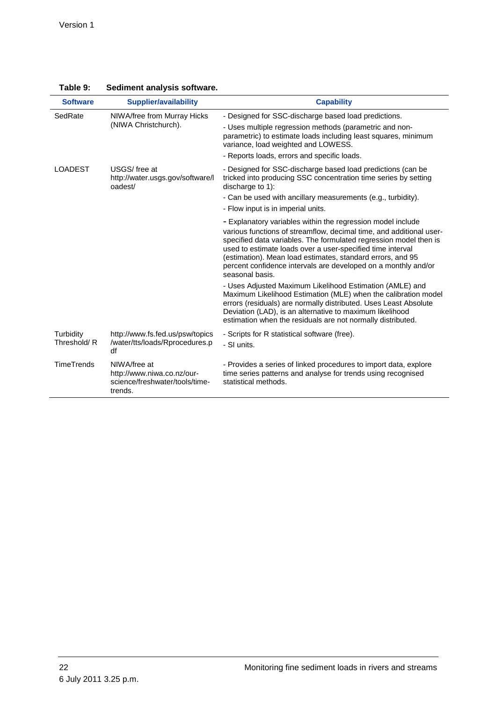| <b>Software</b>          | <b>Supplier/availability</b>                                                            | <b>Capability</b>                                                                                                                                                                                                                                                                                                                                                                                                        |
|--------------------------|-----------------------------------------------------------------------------------------|--------------------------------------------------------------------------------------------------------------------------------------------------------------------------------------------------------------------------------------------------------------------------------------------------------------------------------------------------------------------------------------------------------------------------|
| SedRate                  | NIWA/free from Murray Hicks<br>(NIWA Christchurch).                                     | - Designed for SSC-discharge based load predictions.                                                                                                                                                                                                                                                                                                                                                                     |
|                          |                                                                                         | - Uses multiple regression methods (parametric and non-<br>parametric) to estimate loads including least squares, minimum<br>variance, load weighted and LOWESS.                                                                                                                                                                                                                                                         |
|                          |                                                                                         | - Reports loads, errors and specific loads.                                                                                                                                                                                                                                                                                                                                                                              |
| <b>LOADEST</b>           | USGS/free at<br>http://water.usgs.gov/software/l<br>oadest/                             | - Designed for SSC-discharge based load predictions (can be<br>tricked into producing SSC concentration time series by setting<br>discharge to 1):                                                                                                                                                                                                                                                                       |
|                          |                                                                                         | - Can be used with ancillary measurements (e.g., turbidity).                                                                                                                                                                                                                                                                                                                                                             |
|                          |                                                                                         | - Flow input is in imperial units.                                                                                                                                                                                                                                                                                                                                                                                       |
|                          |                                                                                         | - Explanatory variables within the regression model include<br>various functions of streamflow, decimal time, and additional user-<br>specified data variables. The formulated regression model then is<br>used to estimate loads over a user-specified time interval<br>(estimation). Mean load estimates, standard errors, and 95<br>percent confidence intervals are developed on a monthly and/or<br>seasonal basis. |
|                          |                                                                                         | - Uses Adjusted Maximum Likelihood Estimation (AMLE) and<br>Maximum Likelihood Estimation (MLE) when the calibration model<br>errors (residuals) are normally distributed. Uses Least Absolute<br>Deviation (LAD), is an alternative to maximum likelihood<br>estimation when the residuals are not normally distributed.                                                                                                |
| Turbidity<br>Threshold/R | http://www.fs.fed.us/psw/topics<br>/water/tts/loads/Rprocedures.p<br>df                 | - Scripts for R statistical software (free).<br>- SI units.                                                                                                                                                                                                                                                                                                                                                              |
| <b>TimeTrends</b>        | NIWA/free at<br>http://www.niwa.co.nz/our-<br>science/freshwater/tools/time-<br>trends. | - Provides a series of linked procedures to import data, explore<br>time series patterns and analyse for trends using recognised<br>statistical methods.                                                                                                                                                                                                                                                                 |

**Table 9: Sediment analysis software.**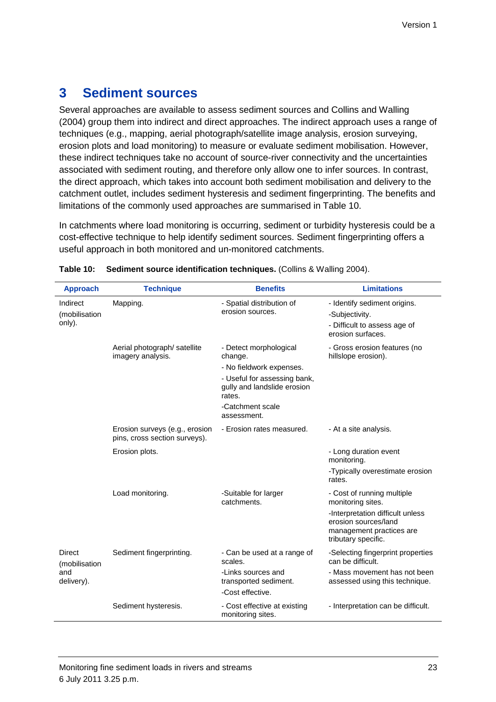## **3 Sediment sources**

Several approaches are available to assess sediment sources and Collins and Walling (2004) group them into indirect and direct approaches. The indirect approach uses a range of techniques (e.g., mapping, aerial photograph/satellite image analysis, erosion surveying, erosion plots and load monitoring) to measure or evaluate sediment mobilisation. However, these indirect techniques take no account of source-river connectivity and the uncertainties associated with sediment routing, and therefore only allow one to infer sources. In contrast, the direct approach, which takes into account both sediment mobilisation and delivery to the catchment outlet, includes sediment hysteresis and sediment fingerprinting. The benefits and limitations of the commonly used approaches are summarised in Table 10.

In catchments where load monitoring is occurring, sediment or turbidity hysteresis could be a cost-effective technique to help identify sediment sources. Sediment fingerprinting offers a useful approach in both monitored and un-monitored catchments.

| <b>Approach</b>                               | <b>Technique</b>                                                | <b>Benefits</b>                                                                                                                                                           | <b>Limitations</b>                                                                                                                                             |
|-----------------------------------------------|-----------------------------------------------------------------|---------------------------------------------------------------------------------------------------------------------------------------------------------------------------|----------------------------------------------------------------------------------------------------------------------------------------------------------------|
| Indirect<br>(mobilisation)<br>only).          | Mapping.                                                        | - Spatial distribution of<br>erosion sources.                                                                                                                             | - Identify sediment origins.<br>-Subjectivity.<br>- Difficult to assess age of<br>erosion surfaces.                                                            |
|                                               | Aerial photograph/ satellite<br>imagery analysis.               | - Detect morphological<br>change.<br>- No fieldwork expenses.<br>- Useful for assessing bank,<br>gully and landslide erosion<br>rates.<br>-Catchment scale<br>assessment. | - Gross erosion features (no<br>hillslope erosion).                                                                                                            |
|                                               | Erosion surveys (e.g., erosion<br>pins, cross section surveys). | - Erosion rates measured.                                                                                                                                                 | - At a site analysis.                                                                                                                                          |
|                                               | Erosion plots.                                                  |                                                                                                                                                                           | - Long duration event<br>monitoring.<br>-Typically overestimate erosion<br>rates.                                                                              |
|                                               | Load monitoring.                                                | -Suitable for larger<br>catchments.                                                                                                                                       | - Cost of running multiple<br>monitoring sites.<br>-Interpretation difficult unless<br>erosion sources/land<br>management practices are<br>tributary specific. |
| Direct<br>(mobilisation)<br>and<br>delivery). | Sediment fingerprinting.                                        | - Can be used at a range of<br>scales.                                                                                                                                    | -Selecting fingerprint properties<br>can be difficult.                                                                                                         |
|                                               |                                                                 | -Links sources and<br>transported sediment.                                                                                                                               | - Mass movement has not been<br>assessed using this technique.                                                                                                 |
|                                               |                                                                 | -Cost effective.                                                                                                                                                          |                                                                                                                                                                |
|                                               | Sediment hysteresis.                                            | - Cost effective at existing<br>monitoring sites.                                                                                                                         | - Interpretation can be difficult.                                                                                                                             |

#### **Table 10: Sediment source identification techniques.** (Collins & Walling 2004).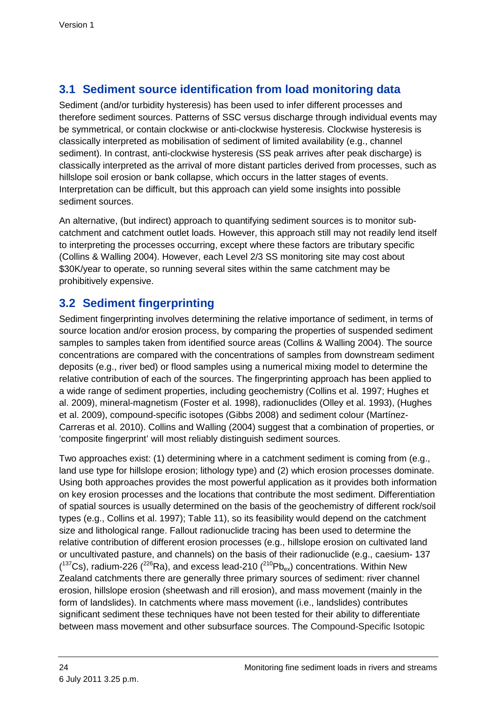## **3.1 Sediment source identification from load monitoring data**

Sediment (and/or turbidity hysteresis) has been used to infer different processes and therefore sediment sources. Patterns of SSC versus discharge through individual events may be symmetrical, or contain clockwise or anti-clockwise hysteresis. Clockwise hysteresis is classically interpreted as mobilisation of sediment of limited availability (e.g., channel sediment). In contrast, anti-clockwise hysteresis (SS peak arrives after peak discharge) is classically interpreted as the arrival of more distant particles derived from processes, such as hillslope soil erosion or bank collapse, which occurs in the latter stages of events. Interpretation can be difficult, but this approach can yield some insights into possible sediment sources.

An alternative, (but indirect) approach to quantifying sediment sources is to monitor subcatchment and catchment outlet loads. However, this approach still may not readily lend itself to interpreting the processes occurring, except where these factors are tributary specific (Collins & Walling 2004). However, each Level 2/3 SS monitoring site may cost about \$30K/year to operate, so running several sites within the same catchment may be prohibitively expensive.

## **3.2 Sediment fingerprinting**

Sediment fingerprinting involves determining the relative importance of sediment, in terms of source location and/or erosion process, by comparing the properties of suspended sediment samples to samples taken from identified source areas (Collins & Walling 2004). The source concentrations are compared with the concentrations of samples from downstream sediment deposits (e.g., river bed) or flood samples using a numerical mixing model to determine the relative contribution of each of the sources. The fingerprinting approach has been applied to a wide range of sediment properties, including geochemistry (Collins et al. 1997; Hughes et al. 2009), mineral-magnetism (Foster et al. 1998), radionuclides (Olley et al. 1993), (Hughes et al. 2009), compound-specific isotopes (Gibbs 2008) and sediment colour (Martínez-Carreras et al. 2010). Collins and Walling (2004) suggest that a combination of properties, or 'composite fingerprint' will most reliably distinguish sediment sources.

Two approaches exist: (1) determining where in a catchment sediment is coming from (e.g., land use type for hillslope erosion; lithology type) and (2) which erosion processes dominate. Using both approaches provides the most powerful application as it provides both information on key erosion processes and the locations that contribute the most sediment. Differentiation of spatial sources is usually determined on the basis of the geochemistry of different rock/soil types (e.g., Collins et al. 1997); Table 11), so its feasibility would depend on the catchment size and lithological range. Fallout radionuclide tracing has been used to determine the relative contribution of different erosion processes (e.g., hillslope erosion on cultivated land or uncultivated pasture, and channels) on the basis of their radionuclide (e.g., caesium- 137 ( $137Cs$ ), radium-226 ( $226$ Ra), and excess lead-210 ( $210$ Pb<sub>ex</sub>) concentrations. Within New Zealand catchments there are generally three primary sources of sediment: river channel erosion, hillslope erosion (sheetwash and rill erosion), and mass movement (mainly in the form of landslides). In catchments where mass movement (i.e., landslides) contributes significant sediment these techniques have not been tested for their ability to differentiate between mass movement and other subsurface sources. The Compound-Specific Isotopic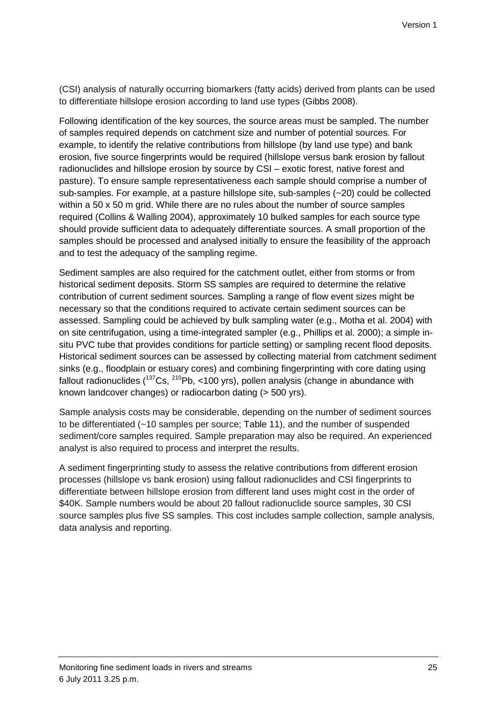(CSI) analysis of naturally occurring biomarkers (fatty acids) derived from plants can be used to differentiate hillslope erosion according to land use types (Gibbs 2008).

Following identification of the key sources, the source areas must be sampled. The number of samples required depends on catchment size and number of potential sources. For example, to identify the relative contributions from hillslope (by land use type) and bank erosion, five source fingerprints would be required (hillslope versus bank erosion by fallout radionuclides and hillslope erosion by source by CSI – exotic forest, native forest and pasture). To ensure sample representativeness each sample should comprise a number of sub-samples. For example, at a pasture hillslope site, sub-samples (~20) could be collected within a 50 x 50 m grid. While there are no rules about the number of source samples required (Collins & Walling 2004), approximately 10 bulked samples for each source type should provide sufficient data to adequately differentiate sources. A small proportion of the samples should be processed and analysed initially to ensure the feasibility of the approach and to test the adequacy of the sampling regime.

Sediment samples are also required for the catchment outlet, either from storms or from historical sediment deposits. Storm SS samples are required to determine the relative contribution of current sediment sources. Sampling a range of flow event sizes might be necessary so that the conditions required to activate certain sediment sources can be assessed. Sampling could be achieved by bulk sampling water (e.g., Motha et al. 2004) with on site centrifugation, using a time-integrated sampler (e.g., Phillips et al. 2000); a simple insitu PVC tube that provides conditions for particle setting) or sampling recent flood deposits. Historical sediment sources can be assessed by collecting material from catchment sediment sinks (e.g., floodplain or estuary cores) and combining fingerprinting with core dating using fallout radionuclides  $(^{137}Cs$ ,  $^{210}Pb$ , <100 yrs), pollen analysis (change in abundance with known landcover changes) or radiocarbon dating (> 500 yrs).

Sample analysis costs may be considerable, depending on the number of sediment sources to be differentiated (~10 samples per source; Table 11), and the number of suspended sediment/core samples required. Sample preparation may also be required. An experienced analyst is also required to process and interpret the results.

A sediment fingerprinting study to assess the relative contributions from different erosion processes (hillslope vs bank erosion) using fallout radionuclides and CSI fingerprints to differentiate between hillslope erosion from different land uses might cost in the order of \$40K. Sample numbers would be about 20 fallout radionuclide source samples, 30 CSI source samples plus five SS samples. This cost includes sample collection, sample analysis, data analysis and reporting.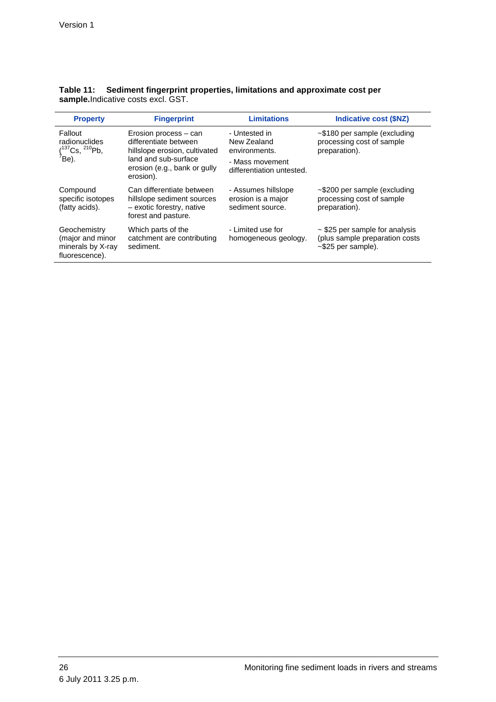| <b>Property</b>                                                           | <b>Fingerprint</b>                                                                                                                                   | <b>Limitations</b>                                                                            | <b>Indicative cost (\$NZ)</b>                                                                     |
|---------------------------------------------------------------------------|------------------------------------------------------------------------------------------------------------------------------------------------------|-----------------------------------------------------------------------------------------------|---------------------------------------------------------------------------------------------------|
| Fallout<br>radionuclides<br>$(^{137}Cs, ^{210}Pb,$<br>$\overline{P}$ Be). | Erosion process - can<br>differentiate between<br>hillslope erosion, cultivated<br>land and sub-surface<br>erosion (e.g., bank or gully<br>erosion). | - Untested in<br>New Zealand<br>environments.<br>- Mass movement<br>differentiation untested. | $\sim$ \$180 per sample (excluding<br>processing cost of sample<br>preparation).                  |
| Compound<br>specific isotopes<br>(fatty acids).                           | Can differentiate between<br>hillslope sediment sources<br>- exotic forestry, native<br>forest and pasture.                                          | - Assumes hillslope<br>erosion is a major<br>sediment source.                                 | $\sim$ \$200 per sample (excluding<br>processing cost of sample<br>preparation).                  |
| Geochemistry<br>(major and minor<br>minerals by X-ray<br>fluorescence).   | Which parts of the<br>catchment are contributing<br>sediment.                                                                                        | - Limited use for<br>homogeneous geology.                                                     | $\sim$ \$25 per sample for analysis<br>(plus sample preparation costs<br>$\sim$ \$25 per sample). |

|                                            | Table 11: Sediment fingerprint properties, limitations and approximate cost per |
|--------------------------------------------|---------------------------------------------------------------------------------|
| <b>sample.</b> Indicative costs excl. GST. |                                                                                 |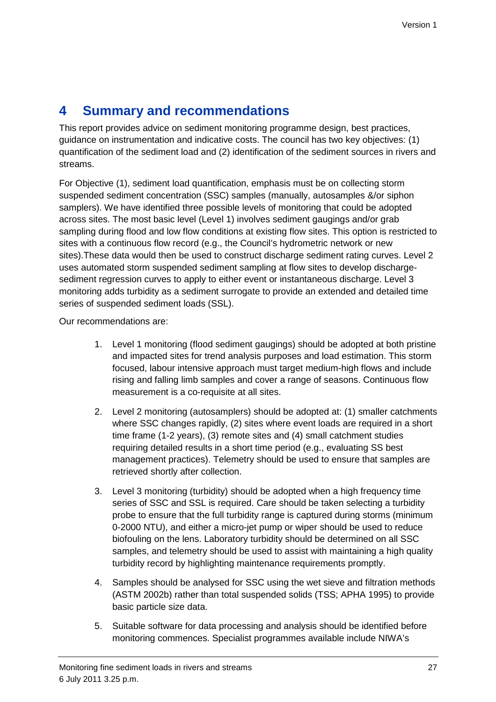# **4 Summary and recommendations**

This report provides advice on sediment monitoring programme design, best practices, guidance on instrumentation and indicative costs. The council has two key objectives: (1) quantification of the sediment load and (2) identification of the sediment sources in rivers and streams.

For Objective (1), sediment load quantification, emphasis must be on collecting storm suspended sediment concentration (SSC) samples (manually, autosamples &/or siphon samplers). We have identified three possible levels of monitoring that could be adopted across sites. The most basic level (Level 1) involves sediment gaugings and/or grab sampling during flood and low flow conditions at existing flow sites. This option is restricted to sites with a continuous flow record (e.g., the Council's hydrometric network or new sites).These data would then be used to construct discharge sediment rating curves. Level 2 uses automated storm suspended sediment sampling at flow sites to develop dischargesediment regression curves to apply to either event or instantaneous discharge. Level 3 monitoring adds turbidity as a sediment surrogate to provide an extended and detailed time series of suspended sediment loads (SSL).

Our recommendations are:

- 1. Level 1 monitoring (flood sediment gaugings) should be adopted at both pristine and impacted sites for trend analysis purposes and load estimation. This storm focused, labour intensive approach must target medium-high flows and include rising and falling limb samples and cover a range of seasons. Continuous flow measurement is a co-requisite at all sites.
- 2. Level 2 monitoring (autosamplers) should be adopted at: (1) smaller catchments where SSC changes rapidly, (2) sites where event loads are required in a short time frame (1-2 years), (3) remote sites and (4) small catchment studies requiring detailed results in a short time period (e.g., evaluating SS best management practices). Telemetry should be used to ensure that samples are retrieved shortly after collection.
- 3. Level 3 monitoring (turbidity) should be adopted when a high frequency time series of SSC and SSL is required. Care should be taken selecting a turbidity probe to ensure that the full turbidity range is captured during storms (minimum 0-2000 NTU), and either a micro-jet pump or wiper should be used to reduce biofouling on the lens. Laboratory turbidity should be determined on all SSC samples, and telemetry should be used to assist with maintaining a high quality turbidity record by highlighting maintenance requirements promptly.
- 4. Samples should be analysed for SSC using the wet sieve and filtration methods (ASTM 2002b) rather than total suspended solids (TSS; APHA 1995) to provide basic particle size data.
- 5. Suitable software for data processing and analysis should be identified before monitoring commences. Specialist programmes available include NIWA's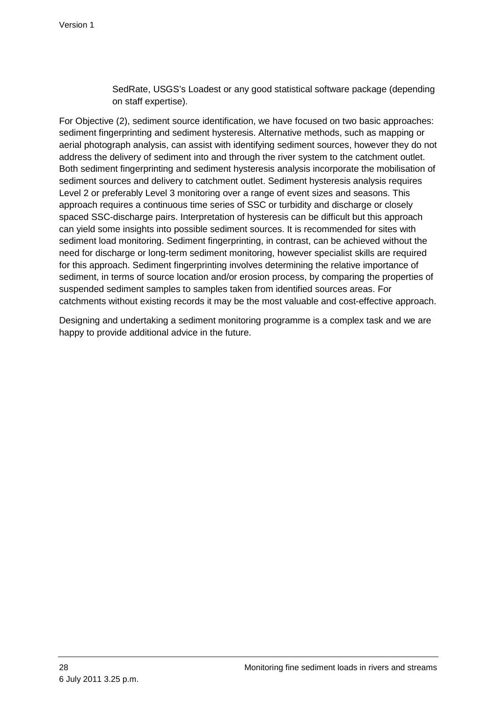SedRate, USGS's Loadest or any good statistical software package (depending on staff expertise).

For Objective (2), sediment source identification, we have focused on two basic approaches: sediment fingerprinting and sediment hysteresis. Alternative methods, such as mapping or aerial photograph analysis, can assist with identifying sediment sources, however they do not address the delivery of sediment into and through the river system to the catchment outlet. Both sediment fingerprinting and sediment hysteresis analysis incorporate the mobilisation of sediment sources and delivery to catchment outlet. Sediment hysteresis analysis requires Level 2 or preferably Level 3 monitoring over a range of event sizes and seasons. This approach requires a continuous time series of SSC or turbidity and discharge or closely spaced SSC-discharge pairs. Interpretation of hysteresis can be difficult but this approach can yield some insights into possible sediment sources. It is recommended for sites with sediment load monitoring. Sediment fingerprinting, in contrast, can be achieved without the need for discharge or long-term sediment monitoring, however specialist skills are required for this approach. Sediment fingerprinting involves determining the relative importance of sediment, in terms of source location and/or erosion process, by comparing the properties of suspended sediment samples to samples taken from identified sources areas. For catchments without existing records it may be the most valuable and cost-effective approach.

Designing and undertaking a sediment monitoring programme is a complex task and we are happy to provide additional advice in the future.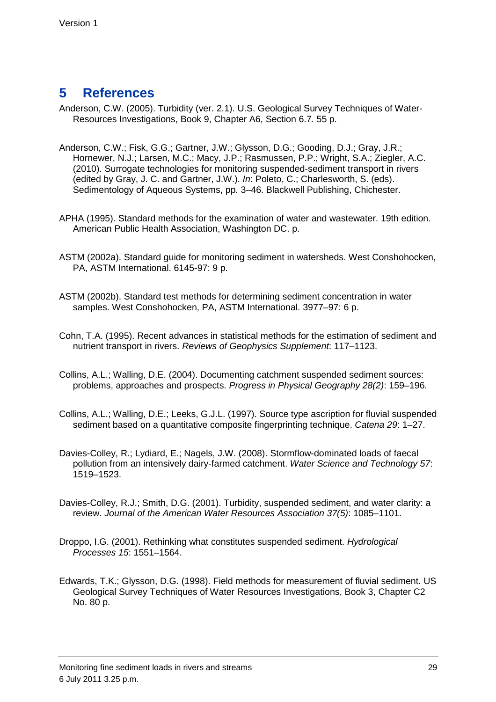# **5 References**

- Anderson, C.W. (2005). Turbidity (ver. 2.1). U.S. Geological Survey Techniques of Water-Resources Investigations, Book 9, Chapter A6, Section 6.7. 55 p.
- Anderson, C.W.; Fisk, G.G.; Gartner, J.W.; Glysson, D.G.; Gooding, D.J.; Gray, J.R.; Hornewer, N.J.; Larsen, M.C.; Macy, J.P.; Rasmussen, P.P.; Wright, S.A.; Ziegler, A.C. (2010). Surrogate technologies for monitoring suspended-sediment transport in rivers (edited by Gray, J. C. and Gartner, J.W.). In: Poleto, C.; Charlesworth, S. (eds). Sedimentology of Aqueous Systems, pp. 3–46. Blackwell Publishing, Chichester.
- APHA (1995). Standard methods for the examination of water and wastewater. 19th edition. American Public Health Association, Washington DC. p.
- ASTM (2002a). Standard guide for monitoring sediment in watersheds. West Conshohocken, PA, ASTM International. 6145-97: 9 p.
- ASTM (2002b). Standard test methods for determining sediment concentration in water samples. West Conshohocken, PA, ASTM International. 3977–97: 6 p.
- Cohn, T.A. (1995). Recent advances in statistical methods for the estimation of sediment and nutrient transport in rivers. Reviews of Geophysics Supplement: 117–1123.
- Collins, A.L.; Walling, D.E. (2004). Documenting catchment suspended sediment sources: problems, approaches and prospects. Progress in Physical Geography 28(2): 159–196.
- Collins, A.L.; Walling, D.E.; Leeks, G.J.L. (1997). Source type ascription for fluvial suspended sediment based on a quantitative composite fingerprinting technique. Catena 29: 1–27.
- Davies-Colley, R.; Lydiard, E.; Nagels, J.W. (2008). Stormflow-dominated loads of faecal pollution from an intensively dairy-farmed catchment. Water Science and Technology 57: 1519–1523.
- Davies-Colley, R.J.; Smith, D.G. (2001). Turbidity, suspended sediment, and water clarity: a review. Journal of the American Water Resources Association 37(5): 1085–1101.
- Droppo, I.G. (2001). Rethinking what constitutes suspended sediment. Hydrological Processes 15: 1551–1564.
- Edwards, T.K.; Glysson, D.G. (1998). Field methods for measurement of fluvial sediment. US Geological Survey Techniques of Water Resources Investigations, Book 3, Chapter C2 No. 80 p.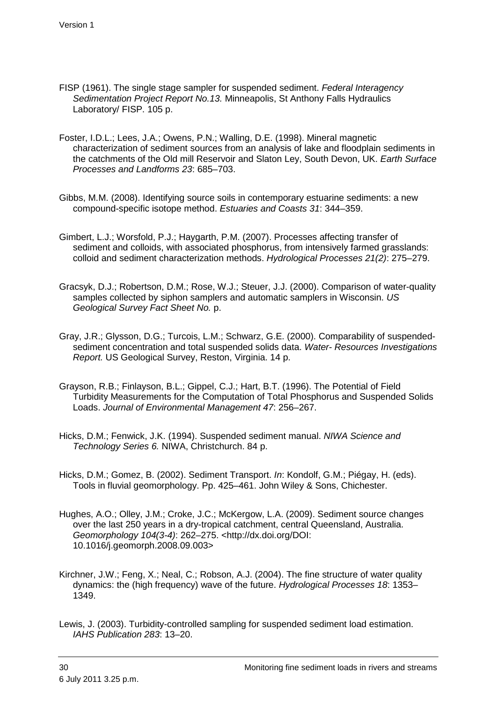- FISP (1961). The single stage sampler for suspended sediment. Federal Interagency Sedimentation Project Report No.13. Minneapolis, St Anthony Falls Hydraulics Laboratory/ FISP. 105 p.
- Foster, I.D.L.; Lees, J.A.; Owens, P.N.; Walling, D.E. (1998). Mineral magnetic characterization of sediment sources from an analysis of lake and floodplain sediments in the catchments of the Old mill Reservoir and Slaton Ley, South Devon, UK. Earth Surface Processes and Landforms 23: 685–703.
- Gibbs, M.M. (2008). Identifying source soils in contemporary estuarine sediments: a new compound-specific isotope method. Estuaries and Coasts 31: 344–359.
- Gimbert, L.J.; Worsfold, P.J.; Haygarth, P.M. (2007). Processes affecting transfer of sediment and colloids, with associated phosphorus, from intensively farmed grasslands: colloid and sediment characterization methods. Hydrological Processes 21(2): 275–279.
- Gracsyk, D.J.; Robertson, D.M.; Rose, W.J.; Steuer, J.J. (2000). Comparison of water-quality samples collected by siphon samplers and automatic samplers in Wisconsin. US Geological Survey Fact Sheet No. p.
- Gray, J.R.; Glysson, D.G.; Turcois, L.M.; Schwarz, G.E. (2000). Comparability of suspendedsediment concentration and total suspended solids data. Water- Resources Investigations Report. US Geological Survey, Reston, Virginia. 14 p.
- Grayson, R.B.; Finlayson, B.L.; Gippel, C.J.; Hart, B.T. (1996). The Potential of Field Turbidity Measurements for the Computation of Total Phosphorus and Suspended Solids Loads. Journal of Environmental Management 47: 256–267.
- Hicks, D.M.; Fenwick, J.K. (1994). Suspended sediment manual. NIWA Science and Technology Series 6. NIWA, Christchurch. 84 p.
- Hicks, D.M.; Gomez, B. (2002). Sediment Transport. In: Kondolf, G.M.; Piégay, H. (eds). Tools in fluvial geomorphology. Pp. 425–461. John Wiley & Sons, Chichester.
- Hughes, A.O.; Olley, J.M.; Croke, J.C.; McKergow, L.A. (2009). Sediment source changes over the last 250 years in a dry-tropical catchment, central Queensland, Australia. Geomorphology 104(3-4): 262–275. <http://dx.doi.org/DOI: 10.1016/j.geomorph.2008.09.003>
- Kirchner, J.W.; Feng, X.; Neal, C.; Robson, A.J. (2004). The fine structure of water quality dynamics: the (high frequency) wave of the future. Hydrological Processes 18: 1353– 1349.
- Lewis, J. (2003). Turbidity-controlled sampling for suspended sediment load estimation. IAHS Publication 283: 13–20.